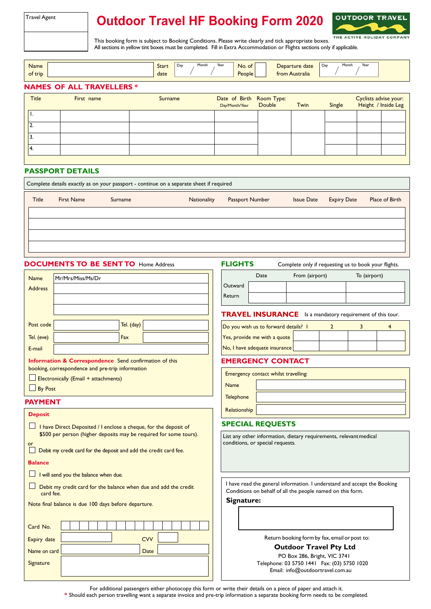| Travel Agent |  |
|--------------|--|
|--------------|--|

# **Outdoor Travel HF Booking Form 2020**



This booking form is subject to Booking Conditions. Please write clearly and tick appropriate boxes. All sections in yellow tint boxes must be completed. Fill in Extra Accommodation or Flights sections only if applicable.

| Name<br>of trip |                                  | Start<br>date | Year<br>Month<br>Day | No. of<br>People         | Departure date<br>from Australia | Year<br>Month<br>Day  |
|-----------------|----------------------------------|---------------|----------------------|--------------------------|----------------------------------|-----------------------|
|                 | <b>NAMES OF ALL TRAVELLERS *</b> |               |                      |                          |                                  |                       |
| Title           | First name                       | Surname       |                      | Date of Birth Room Type: |                                  | Cyclists advise vour: |

| <b>Title</b> | First name | Surname | Date of Birth Room Type:<br>Day/Month/Year Double | Twin | Single | Cyclists advise your:<br>Height / Inside Leg |  |
|--------------|------------|---------|---------------------------------------------------|------|--------|----------------------------------------------|--|
|              |            |         |                                                   |      |        |                                              |  |
| <b>.</b>     |            |         |                                                   |      |        |                                              |  |
| د.           |            |         |                                                   |      |        |                                              |  |
| "4.          |            |         |                                                   |      |        |                                              |  |
|              |            |         |                                                   |      |        |                                              |  |

### **PASSPORT DETAILS**

| Complete details exactly as on your passport - continue on a separate sheet if required |                   |         |             |                 |                   |                    |                |
|-----------------------------------------------------------------------------------------|-------------------|---------|-------------|-----------------|-------------------|--------------------|----------------|
| Title                                                                                   | <b>First Name</b> | Surname | Nationality | Passport Number | <b>Issue Date</b> | <b>Expiry Date</b> | Place of Birth |
|                                                                                         |                   |         |             |                 |                   |                    |                |
|                                                                                         |                   |         |             |                 |                   |                    |                |
|                                                                                         |                   |         |             |                 |                   |                    |                |
|                                                                                         |                   |         |             |                 |                   |                    |                |
|                                                                                         |                   |         |             |                 |                   |                    |                |

#### **DOCUMENTS TO BE SENT TO Home Address**

**FLIGHTS** Complete only if requesting us to book your flights.

|         | Date | From (airport) | To (airport) |
|---------|------|----------------|--------------|
| Outward |      |                |              |
| Return  |      |                |              |

**TRAVEL INSURANCE** Is a mandatory requirement of this tour.

| Do you wish us to forward details? I |  |  |  |
|--------------------------------------|--|--|--|
| Yes, provide me with a quote         |  |  |  |
| No, I have adequate insurance        |  |  |  |

### **EMERGENCY CONTACT**

|                  | Emergency contact whilst travelling: |  |  |  |  |  |
|------------------|--------------------------------------|--|--|--|--|--|
| Name             |                                      |  |  |  |  |  |
| <b>Telephone</b> |                                      |  |  |  |  |  |
| Relationship     |                                      |  |  |  |  |  |
|                  | ---                                  |  |  |  |  |  |

### **SPECIAL REQUESTS**

List any other information, dietary requirements, relevantmedical conditions, or special requests.

I have read the general information. I understand and accept the Booking Conditions on behalf of all the people named on this form.

**Signature:**

Return booking formby fax, email or post to:

PO Box 286, Bright, VIC 3741 Telephone: 03 5750 1441 [Fax:](fax:) (03) 5750 1020 Email: info@outdoortravel.com.au **Outdoor Travel Pty Ltd** 

Name Mr/Mrs/Miss/Ms/Dr Address

| Post code                            |                                                                   | Tel. (day) |  |  |
|--------------------------------------|-------------------------------------------------------------------|------------|--|--|
| Tel. (eve)                           |                                                                   | Fax        |  |  |
| E-mail                               |                                                                   |            |  |  |
|                                      | <b>Information &amp; Correspondence</b> Send confirmation of this |            |  |  |
|                                      | booking, correspondence and pre-trip information                  |            |  |  |
| Electronically (Email + attachments) |                                                                   |            |  |  |

By Post

### **PAYMENT Deposit**

| I have Direct Deposited / I enclose a cheque, for the deposit of<br>\$500 per person (higher deposits may be required for some tours). |  |  |  |  |  |
|----------------------------------------------------------------------------------------------------------------------------------------|--|--|--|--|--|
| or<br>Debit my credit card for the deposit and add the credit card fee.                                                                |  |  |  |  |  |
| <b>Balance</b>                                                                                                                         |  |  |  |  |  |
| I will send you the balance when due.                                                                                                  |  |  |  |  |  |
| Debit my credit card for the balance when due and add the credit<br>card fee.                                                          |  |  |  |  |  |
| Note final balance is due 100 days before departure.                                                                                   |  |  |  |  |  |
|                                                                                                                                        |  |  |  |  |  |
| Card No.                                                                                                                               |  |  |  |  |  |
| <b>CVV</b><br>Expiry date                                                                                                              |  |  |  |  |  |
| Name on card<br>Date                                                                                                                   |  |  |  |  |  |
| Signature                                                                                                                              |  |  |  |  |  |
|                                                                                                                                        |  |  |  |  |  |

For additional passengers either photocopy this form or write their details on a piece of paper and attach it. **\*** Should each person travelling want a separate invoice and pre-trip information a separate booking form needs to be completed.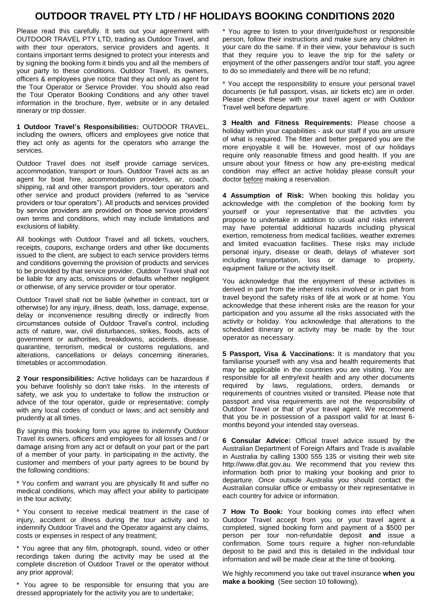## **OUTDOOR TRAVEL PTY LTD / HF HOLIDAYS BOOKING CONDITIONS 2020**

Please read this carefully. It sets out your agreement with OUTDOOR TRAVEL PTY LTD, trading as Outdoor Travel, and with their tour operators, service providers and agents. It contains important terms designed to protect your interests and by signing the booking form it binds you and all the members of your party to these conditions. Outdoor Travel, its owners, officers & employees give notice that they act only as agent for the Tour Operator or Service Provider. You should also read the Tour Operator Booking Conditions and any other travel information in the brochure, flyer, website or in any detailed itinerary or trip dossier.

**1 Outdoor Travel's Responsibilities:** OUTDOOR TRAVEL, including the owners, officers and employees give notice that they act only as agents for the operators who arrange the services.

Outdoor Travel does not itself provide carriage services, accommodation, transport or tours. Outdoor Travel acts as an agent for boat hire, accommodation providers, air, coach, shipping, rail and other transport providers, tour operators and other service and product providers (referred to as "service providers or tour operators"). All products and services provided by service providers are provided on those service providers' own terms and conditions, which may include limitations and exclusions of liability.

All bookings with Outdoor Travel and all tickets, vouchers, receipts, coupons, exchange orders and other like documents issued to the client, are subject to each service providers terms and conditions governing the provision of products and services to be provided by that service provider. Outdoor Travel shall not be liable for any acts, omissions or defaults whether negligent or otherwise, of any service provider or tour operator.

Outdoor Travel shall not be liable (whether in contract, tort or otherwise) for any injury, illness, death, loss, damage, expense, delay or inconvenience resulting directly or indirectly from circumstances outside of Outdoor Travel's control, including acts of nature, war, civil disturbances, strikes, floods, acts of government or authorities, breakdowns, accidents, disease, quarantine, terrorism, medical or customs regulations, and alterations, cancellations or delays concerning itineraries, timetables or accommodation.

**2 Your responsibilities:** Active holidays can be hazardous if you behave foolishly so don't take risks. In the interests of safety, we ask you to undertake to follow the instruction or advice of the tour operator, guide or representative; comply with any local codes of conduct or laws; and act sensibly and prudently at all times.

By signing this booking form you agree to indemnify Outdoor Travel its owners, officers and employees for all losses and / or damage arising from any act or default on your part or the part of a member of your party. In participating in the activity, the customer and members of your party agrees to be bound by the following conditions:

\* You confirm and warrant you are physically fit and suffer no medical conditions, which may affect your ability to participate in the tour activity;

\* You consent to receive medical treatment in the case of injury, accident or illness during the tour activity and to indemnify Outdoor Travel and the Operator against any claims, costs or expenses in respect of any treatment;

\* You agree that any film, photograph, sound, video or other recordings taken during the activity may be used at the complete discretion of Outdoor Travel or the operator without any prior approval;

\* You agree to be responsible for ensuring that you are dressed appropriately for the activity you are to undertake;

\* You agree to listen to your driver/guide/host or responsible person, follow their instructions and make sure any children in your care do the same. If in their view, your behaviour is such that they require you to leave the trip for the safety or enjoyment of the other passengers and/or tour staff, you agree to do so immediately and there will be no refund;

\* You accept the responsibility to ensure your personal travel documents (ie full passport, visas, air tickets etc) are in order. Please check these with your travel agent or with Outdoor Travel well before departure.

**3 Health and Fitness Requirements:** Please choose a holiday within your capabilities - ask our staff if you are unsure of what is required. The fitter and better prepared you are the more enjoyable it will be. However, most of our holidays require only reasonable fitness and good health. If you are unsure about your fitness or how any pre-existing medical condition may effect an active holiday please consult your doctor before making a reservation.

**4 Assumption of Risk:** When booking this holiday you acknowledge with the completion of the booking form by yourself or your representative that the activities you propose to undertake in addition to usual and risks inherent may have potential additional hazards including physical exertion, remoteness from medical facilities, weather extremes and limited evacuation facilities. These risks may include personal injury, disease or death, delays of whatever sort including transportation, loss or damage to property, equipment failure or the activity itself.

You acknowledge that the enjoyment of these activities is derived in part from the inherent risks involved or in part from travel beyond the safety risks of life at work or at home. You acknowledge that these inherent risks are the reason for your participation and you assume all the risks associated with the activity or holiday. You acknowledge that alterations to the scheduled itinerary or activity may be made by the tour operator as necessary.

**5 Passport, Visa & Vaccinations:** It is mandatory that you familiarise yourself with any visa and health requirements that may be applicable in the countries you are visiting. You are responsible for all entry/exit health and any other documents required by laws, regulations, orders, demands or requirements of countries visited or transited. Please note that passport and visa requirements are not the responsibility of Outdoor Travel or that of your travel agent. We recommend that you be in possession of a passport valid for at least 6 months beyond your intended stay overseas.

**6 Consular Advice:** Official travel advice issued by the Australian Department of Foreign Affairs and Trade is available in Australia by calling 1300 555 135 or visiting their web site <http://www.dfat.gov.au.>We recommend that you review this information both prior to making your booking and prior to departure. Once outside Australia you should contact the Australian consular office or embassy or their representative in each country for advice or information.

**7 How To Book:** Your booking comes into effect when Outdoor Travel accept from you or your travel agent a completed, signed booking form and payment of a \$500 per person per tour non-refundable deposit **and** issue a confirmation. Some tours require a higher non-refundable deposit to be paid and this is detailed in the individual tour information and will be made clear at the time of booking.

We highly recommend you take out travel insurance **when you make a booking** (See section 10 following).